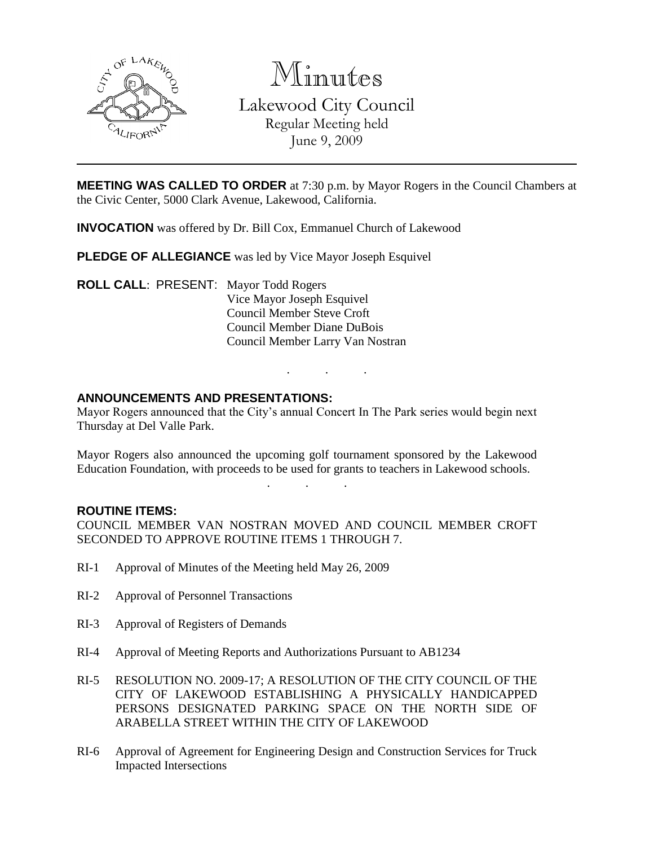

Minutes Lakewood City Council Regular Meeting held June 9, 2009

**MEETING WAS CALLED TO ORDER** at 7:30 p.m. by Mayor Rogers in the Council Chambers at the Civic Center, 5000 Clark Avenue, Lakewood, California.

**INVOCATION** was offered by Dr. Bill Cox, Emmanuel Church of Lakewood

**PLEDGE OF ALLEGIANCE** was led by Vice Mayor Joseph Esquivel

**ROLL CALL**: PRESENT: Mayor Todd Rogers Vice Mayor Joseph Esquivel Council Member Steve Croft Council Member Diane DuBois Council Member Larry Van Nostran

### **ANNOUNCEMENTS AND PRESENTATIONS:**

Mayor Rogers announced that the City's annual Concert In The Park series would begin next Thursday at Del Valle Park.

. . .

Mayor Rogers also announced the upcoming golf tournament sponsored by the Lakewood Education Foundation, with proceeds to be used for grants to teachers in Lakewood schools.

. . .

### **ROUTINE ITEMS:**

COUNCIL MEMBER VAN NOSTRAN MOVED AND COUNCIL MEMBER CROFT SECONDED TO APPROVE ROUTINE ITEMS 1 THROUGH 7.

- RI-1 Approval of Minutes of the Meeting held May 26, 2009
- RI-2 Approval of Personnel Transactions
- RI-3 Approval of Registers of Demands
- RI-4 Approval of Meeting Reports and Authorizations Pursuant to AB1234
- RI-5 RESOLUTION NO. 2009-17; A RESOLUTION OF THE CITY COUNCIL OF THE CITY OF LAKEWOOD ESTABLISHING A PHYSICALLY HANDICAPPED PERSONS DESIGNATED PARKING SPACE ON THE NORTH SIDE OF ARABELLA STREET WITHIN THE CITY OF LAKEWOOD
- RI-6 Approval of Agreement for Engineering Design and Construction Services for Truck Impacted Intersections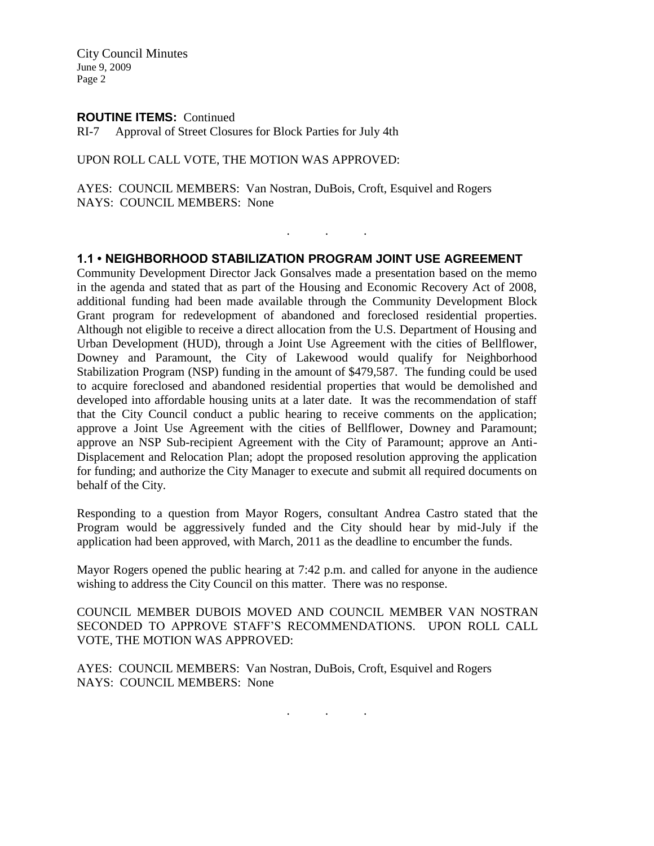City Council Minutes June 9, 2009 Page 2

#### **ROUTINE ITEMS:** Continued

RI-7 Approval of Street Closures for Block Parties for July 4th

#### UPON ROLL CALL VOTE, THE MOTION WAS APPROVED:

AYES: COUNCIL MEMBERS: Van Nostran, DuBois, Croft, Esquivel and Rogers NAYS: COUNCIL MEMBERS: None

### **1.1 • NEIGHBORHOOD STABILIZATION PROGRAM JOINT USE AGREEMENT**

. . .

Community Development Director Jack Gonsalves made a presentation based on the memo in the agenda and stated that as part of the Housing and Economic Recovery Act of 2008, additional funding had been made available through the Community Development Block Grant program for redevelopment of abandoned and foreclosed residential properties. Although not eligible to receive a direct allocation from the U.S. Department of Housing and Urban Development (HUD), through a Joint Use Agreement with the cities of Bellflower, Downey and Paramount, the City of Lakewood would qualify for Neighborhood Stabilization Program (NSP) funding in the amount of \$479,587. The funding could be used to acquire foreclosed and abandoned residential properties that would be demolished and developed into affordable housing units at a later date. It was the recommendation of staff that the City Council conduct a public hearing to receive comments on the application; approve a Joint Use Agreement with the cities of Bellflower, Downey and Paramount; approve an NSP Sub-recipient Agreement with the City of Paramount; approve an Anti-Displacement and Relocation Plan; adopt the proposed resolution approving the application for funding; and authorize the City Manager to execute and submit all required documents on behalf of the City.

Responding to a question from Mayor Rogers, consultant Andrea Castro stated that the Program would be aggressively funded and the City should hear by mid-July if the application had been approved, with March, 2011 as the deadline to encumber the funds.

Mayor Rogers opened the public hearing at 7:42 p.m. and called for anyone in the audience wishing to address the City Council on this matter. There was no response.

COUNCIL MEMBER DUBOIS MOVED AND COUNCIL MEMBER VAN NOSTRAN SECONDED TO APPROVE STAFF'S RECOMMENDATIONS. UPON ROLL CALL VOTE, THE MOTION WAS APPROVED:

AYES: COUNCIL MEMBERS: Van Nostran, DuBois, Croft, Esquivel and Rogers NAYS: COUNCIL MEMBERS: None

. . .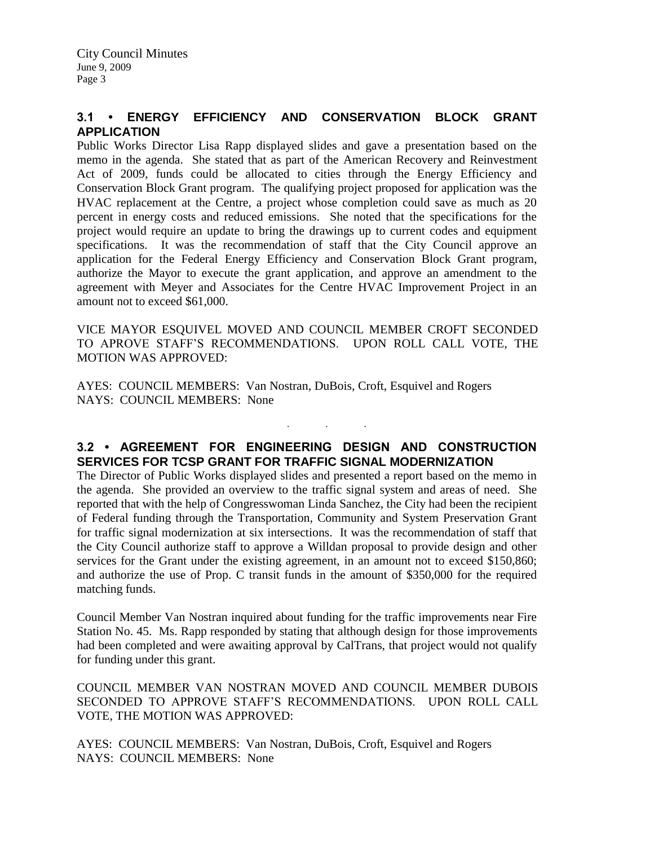# **3.1 • ENERGY EFFICIENCY AND CONSERVATION BLOCK GRANT APPLICATION**

Public Works Director Lisa Rapp displayed slides and gave a presentation based on the memo in the agenda. She stated that as part of the American Recovery and Reinvestment Act of 2009, funds could be allocated to cities through the Energy Efficiency and Conservation Block Grant program. The qualifying project proposed for application was the HVAC replacement at the Centre, a project whose completion could save as much as 20 percent in energy costs and reduced emissions. She noted that the specifications for the project would require an update to bring the drawings up to current codes and equipment specifications. It was the recommendation of staff that the City Council approve an application for the Federal Energy Efficiency and Conservation Block Grant program, authorize the Mayor to execute the grant application, and approve an amendment to the agreement with Meyer and Associates for the Centre HVAC Improvement Project in an amount not to exceed \$61,000.

VICE MAYOR ESQUIVEL MOVED AND COUNCIL MEMBER CROFT SECONDED TO APROVE STAFF'S RECOMMENDATIONS. UPON ROLL CALL VOTE, THE MOTION WAS APPROVED:

AYES: COUNCIL MEMBERS: Van Nostran, DuBois, Croft, Esquivel and Rogers NAYS: COUNCIL MEMBERS: None

# **3.2 • AGREEMENT FOR ENGINEERING DESIGN AND CONSTRUCTION SERVICES FOR TCSP GRANT FOR TRAFFIC SIGNAL MODERNIZATION**

. . .

The Director of Public Works displayed slides and presented a report based on the memo in the agenda. She provided an overview to the traffic signal system and areas of need. She reported that with the help of Congresswoman Linda Sanchez, the City had been the recipient of Federal funding through the Transportation, Community and System Preservation Grant for traffic signal modernization at six intersections. It was the recommendation of staff that the City Council authorize staff to approve a Willdan proposal to provide design and other services for the Grant under the existing agreement, in an amount not to exceed \$150,860; and authorize the use of Prop. C transit funds in the amount of \$350,000 for the required matching funds.

Council Member Van Nostran inquired about funding for the traffic improvements near Fire Station No. 45. Ms. Rapp responded by stating that although design for those improvements had been completed and were awaiting approval by CalTrans, that project would not qualify for funding under this grant.

COUNCIL MEMBER VAN NOSTRAN MOVED AND COUNCIL MEMBER DUBOIS SECONDED TO APPROVE STAFF'S RECOMMENDATIONS. UPON ROLL CALL VOTE, THE MOTION WAS APPROVED:

AYES: COUNCIL MEMBERS: Van Nostran, DuBois, Croft, Esquivel and Rogers NAYS: COUNCIL MEMBERS: None